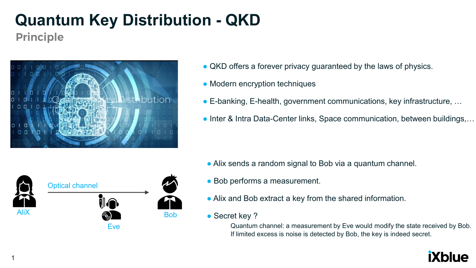**Principle** 



- QKD offers a forever privacy guaranteed by the laws of physics.
- Modern encryption techniques
- E-banking, E-health, government communications, key infrastructure, ...
- Inter & Intra Data-Center links, Space communication, between buildings,...



- Alix sends a random signal to Bob via a quantum channel.
- Bob performs a measurement.
- Alix and Bob extract a key from the shared information.
- Secret key ?

Quantum channel: a measurement by Eve would modify the state received by Bob. If limited excess is noise is detected by Bob, the key is indeed secret.

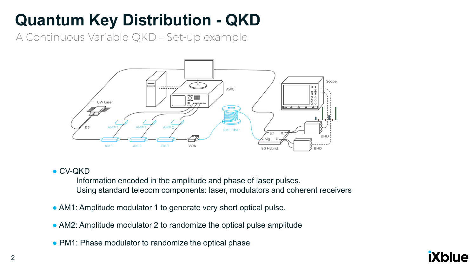A Continuous Variable QKD - Set-up example



#### ● CV-QKD

Information encoded in the amplitude and phase of laser pulses. Using standard telecom components: laser, modulators and coherent receivers

- AM1: Amplitude modulator 1 to generate very short optical pulse.
- AM2: Amplitude modulator 2 to randomize the optical pulse amplitude
- PM1: Phase modulator to randomize the optical phase

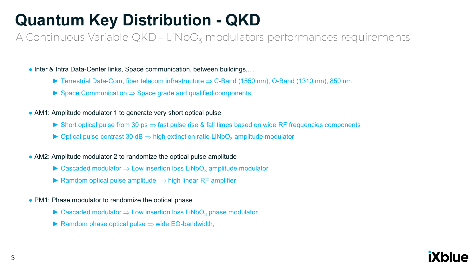A Continuous Variable QKD - LiNbO<sub>z</sub> modulators performances requirements

• Inter & Intra Data-Center links, Space communication, between buildings,...

- ► Terrestrial Data-Com, fiber telecom infrastructure  $\Rightarrow$  C-Band (1550 nm), O-Band (1310 nm), 850 nm
- ► Space Communication  $\Rightarrow$  Space grade and qualified components
- AM1: Amplitude modulator 1 to generate very short optical pulse
	- ► Short optical pulse from 30 ps  $\Rightarrow$  fast pulse rise & fall times based on wide RF frequencies components
	- ► Optical pulse contrast 30 dB  $\Rightarrow$  high extinction ratio LiNbO<sub>3</sub> amplitude modulator
- AM2: Amplitude modulator 2 to randomize the optical pulse amplitude
	- $\triangleright$  Cascaded modulator  $\Rightarrow$  Low insertion loss LiNbO<sub>3</sub> amplitude modulator
	- ► Ramdom optical pulse amplitude  $\Rightarrow$  high linear RF amplifier
- PM1: Phase modulator to randomize the optical phase
	- $\triangleright$  Cascaded modulator  $\Rightarrow$  Low insertion loss LiNbO<sub>3</sub> phase modulator
	- $\blacktriangleright$  Ramdom phase optical pulse  $\Rightarrow$  wide EO-bandwidth,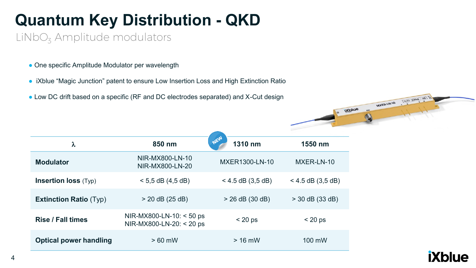LiNbO<sub>3</sub> Amplitude modulators

- One specific Amplitude Modulator per wavelength
- iXblue "Magic Junction" patent to ensure Low Insertion Loss and High Extinction Ratio
- Low DC drift based on a specific (RF and DC electrodes separated) and X-Cut design

| λ                             | 850 nm                                               | NEW<br>1310 nm      | 1550 nm             |
|-------------------------------|------------------------------------------------------|---------------------|---------------------|
| <b>Modulator</b>              | NIR-MX800-LN-10<br>NIR-MX800-LN-20                   | MXER1300-LN-10      | MXER-LN-10          |
| <b>Insertion loss (Typ)</b>   | $< 5.5$ dB (4.5 dB)                                  | $<$ 4.5 dB (3,5 dB) | $<$ 4.5 dB (3,5 dB) |
| <b>Extinction Ratio (Typ)</b> | $> 20$ dB (25 dB)                                    | $> 26$ dB (30 dB)   | $>$ 30 dB (33 dB)   |
| <b>Rise / Fall times</b>      | NIR-MX800-LN-10: < 50 ps<br>NIR-MX800-LN-20: < 20 ps | $< 20$ ps           | $< 20$ ps           |
| <b>Optical power handling</b> | $>60$ mW                                             | $> 16$ mW           | 100 mW              |



MXER-LN-10 (BIN-2454-20)

E ixplue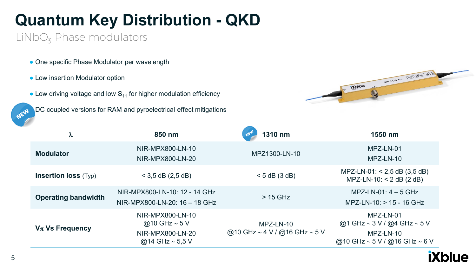$LiNbO<sub>z</sub>$  Phase modulators

- One specific Phase Modulator per wavelength
- Low insertion Modulator option
- Low driving voltage and low  $S_{11}$  for higher modulation efficiency

**DC coupled versions for RAM and pyroelectrical effect mitigations** 



| λ                           | 850 nm                                                                             | NEW<br>1310 nm                             | 1550 nm                                                                                   |
|-----------------------------|------------------------------------------------------------------------------------|--------------------------------------------|-------------------------------------------------------------------------------------------|
| <b>Modulator</b>            | NIR-MPX800-LN-10<br>NIR-MPX800-LN-20                                               | MPZ1300-LN-10                              | MPZ-LN-01<br>MPZ-LN-10                                                                    |
| <b>Insertion loss (Typ)</b> | $<$ 3,5 dB (2,5 dB)                                                                | $< 5$ dB (3 dB)                            | $MPZ-LN-01: < 2,5$ dB $(3,5$ dB)<br>$MPZ-LN-10: < 2 dB (2 dB)$                            |
| <b>Operating bandwidth</b>  | NIR-MPX800-LN-10: 12 - 14 GHz<br>NIR-MPX800-LN-20: 16 - 18 GHz                     | $>$ 15 GHz                                 | $MPZ-LN-01: 4-5 GHz$<br>$MPZ-LN-10:$ > 15 - 16 GHz                                        |
| $V_{\pi}$ Vs Frequency      | NIR-MPX800-LN-10<br>@10 GHz $\sim$ 5 V<br>NIR-MPX800-LN-20<br>@14 GHz $\sim$ 5.5 V | MPZ-LN-10<br>@10 GHz ~ 4 V / @16 GHz ~ 5 V | MPZ-LN-01<br>@1 GHz ~ 3 V / @4 GHz ~ 5 V<br>MPZ-LN-10<br>@10 GHz ~ $5 V / Q$ 16 GHz ~ 6 V |

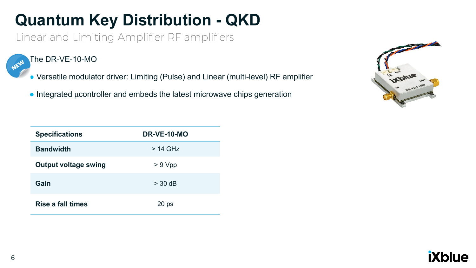Linear and Limiting Amplifier RF amplifiers

The DR-VE-10-MO NEW

- Versatile modulator driver: Limiting (Pulse) and Linear (multi-level) RF amplifier
- $\bullet$  Integrated  $\mu$  controller and embeds the latest microwave chips generation



| <b>Specifications</b>       | DR-VE-10-MO      |
|-----------------------------|------------------|
| <b>Bandwidth</b>            | $>$ 14 GHz       |
| <b>Output voltage swing</b> | > 9 Vpp          |
| Gain                        | $>$ 30 dB        |
| <b>Rise a fall times</b>    | 20 <sub>ps</sub> |